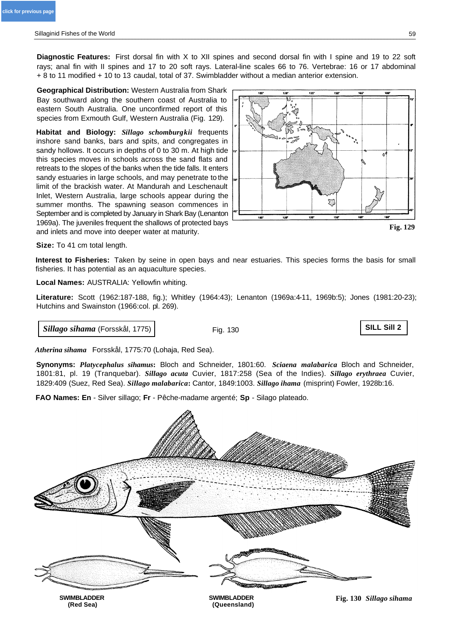**Diagnostic Features:** First dorsal fin with X to XII spines and second dorsal fin with I spine and 19 to 22 soft rays; anal fin with II spines and 17 to 20 soft rays. Lateral-line scales 66 to 76. Vertebrae: 16 or 17 abdominal + 8 to 11 modified + 10 to 13 caudal, total of 37. Swimbladder without a median anterior extension.

**Geographical Distribution:** Western Australia from Shark Bay southward along the southern coast of Australia to eastern South Australia. One unconfirmed report of this species from Exmouth Gulf, Western Australia (Fig. 129).

**Habitat and Biology:** *Sillago schomburgkii* frequents inshore sand banks, bars and spits, and congregates in sandy hollows. It occurs in depths of 0 to 30 m. At high tide this species moves in schools across the sand flats and retreats to the slopes of the banks when the tide falls. It enters sandy estuaries in large schools, and may penetrate to the limit of the brackish water. At Mandurah and Leschenault Inlet, Western Australia, large schools appear during the summer months. The spawning season commences in September and is completed by January in Shark Bay (Lenanton 1969a). The juveniles frequent the shallows of protected bays and inlets and move into deeper water at maturity.



**Fig. 129**

**Size:** To 41 cm total length.

**Interest to Fisheries:** Taken by seine in open bays and near estuaries. This species forms the basis for small fisheries. It has potential as an aquaculture species.

**Local Names:** AUSTRALIA: Yellowfin whiting.

**Literature:** Scott (1962:187-188, fig.); Whitley (1964:43); Lenanton (1969a:4-11, 1969b:5); Jones (1981:20-23); Hutchins and Swainston (1966:col. pl. 269).

*Sillago sihama* (Forsskål, 1775)

Fig. 130

**SILL Sill 2**

*Atherina sihama* Forsskål, 1775:70 (Lohaja, Red Sea).

**Synonyms:** *Platycephalus sihamus***:** Bloch and Schneider, 1801:60. *Sciaena malabarica* Bloch and Schneider, 1801:81, pl. 19 (Tranquebar). *Sillago acuta* Cuvier, 1817:258 (Sea of the Indies). *Sillago erythraea* Cuvier, 1829:409 (Suez, Red Sea). *Sillago malabarica***:** Cantor, 1849:1003. *Sillago ihama* (misprint) Fowler, 1928b:16.

**FAO Names: En** - Silver sillago; **Fr** - Pêche-madame argenté; **Sp** - Silago plateado.

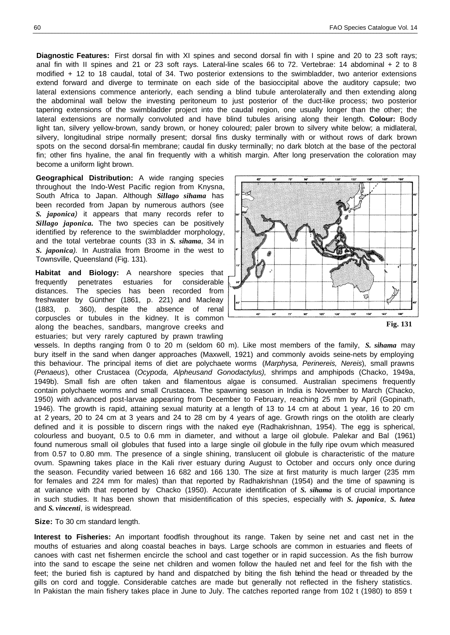**Diagnostic Features:** First dorsal fin with XI spines and second dorsal fin with I spine and 20 to 23 soft rays; anal fin with II spines and 21 or 23 soft rays. Lateral-line scales 66 to 72. Vertebrae: 14 abdominal + 2 to 8 modified + 12 to 18 caudal, total of 34. Two posterior extensions to the swimbladder, two anterior extensions extend forward and diverge to terminate on each side of the basioccipital above the auditory capsule; two lateral extensions commence anteriorly, each sending a blind tubule anterolaterally and then extending along the abdominal wall below the investing peritoneum to just posterior of the duct-like process; two posterior tapering extensions of the swimbladder project into the caudal region, one usually longer than the other; the lateral extensions are normally convoluted and have blind tubules arising along their length. **Colour:** Body light tan, silvery yellow-brown, sandy brown, or honey coloured; paler brown to silvery white below; a midlateral, silvery, longitudinal stripe normally present; dorsal fins dusky terminally with or without rows of dark brown spots on the second dorsal-fin membrane; caudal fin dusky terminally; no dark blotch at the base of the pectoral fin; other fins hyaline, the anal fin frequently with a whitish margin. After long preservation the coloration may become a uniform light brown.

**Geographical Distribution:** A wide ranging species throughout the Indo-West Pacific region from Knysna, South Africa to Japan. Although *Sillago sihama* has been recorded from Japan by numerous authors (see *S. japonica)* it appears that many records refer to *Sillago japonica.* The two species can be positively identified by reference to the swimbladder morphology, and the total vertebrae counts (33 in *S. sihama*, 34 in *S. japonica).* In Australia from Broome in the west to Townsville, Queensland (Fig. 131).

**Habitat and Biology:** A nearshore species that frequently penetrates estuaries for considerable distances. The species has been recorded from freshwater by Günther (1861, p. 221) and Macleay (1883, p. 360), despite the absence of renal corpuscles or tubules in the kidney. It is common along the beaches, sandbars, mangrove creeks and estuaries; but very rarely captured by prawn trawling



vessels. In depths ranging from 0 to 20 m (seldom 60 m). Like most members of the family, *S. sihama* may bury itself in the sand when danger approaches (Maxwell, 1921) and commonly avoids seine-nets by employing this behaviour. The principal items of diet are polychaete worms (*Marphysa, Perinereis, Nereis*), small prawns (*Penaeus*), other Crustacea (*Ocypoda, Alpheusand Gonodactylus),* shrimps and amphipods (Chacko, 1949a, 1949b). Small fish are often taken and filamentous algae is consumed. Australian specimens frequently contain polychaete worms and small Crustacea. The spawning season in India is November to March (Chacko, 1950) with advanced post-larvae appearing from December to February, reaching 25 mm by April (Gopinath, 1946). The growth is rapid, attaining sexual maturity at a length of 13 to 14 cm at about 1 year, 16 to 20 cm at 2 years, 20 to 24 cm at 3 years and 24 to 28 cm by 4 years of age. Growth rings on the otolith are clearly defined and it is possible to discern rings with the naked eye (Radhakrishnan, 1954). The egg is spherical, colourless and buoyant, 0.5 to 0.6 mm in diameter, and without a large oil globule. Palekar and Bal (1961) found numerous small oil globules that fused into a large single oil globule in the fully ripe ovum which measured from 0.57 to 0.80 mm. The presence of a single shining, translucent oil globule is characteristic of the mature ovum. Spawning takes place in the Kali river estuary during August to October and occurs only once during the season. Fecundity varied between 16 682 and 166 130. The size at first maturity is much larger (235 mm for females and 224 mm for males) than that reported by Radhakrishnan (1954) and the time of spawning is at variance with that reported by Chacko (1950). Accurate identification of *S. sihama* is of crucial importance in such studies. It has been shown that misidentification of this species, especially with *S. japonica*, *S. lutea* and *S. vincenti*, is widespread.

**Size:** To 30 cm standard length.

**Interest to Fisheries:** An important foodfish throughout its range. Taken by seine net and cast net in the mouths of estuaries and along coastal beaches in bays. Large schools are common in estuaries and fleets of canoes with cast net fishermen encircle the school and cast together or in rapid succession. As the fish burrow into the sand to escape the seine net children and women follow the hauled net and feel for the fish with the feet; the buried fish is captured by hand and dispatched by biting the fish behind the head or threaded by the gills on cord and toggle. Considerable catches are made but generally not reflected in the fishery statistics. In Pakistan the main fishery takes place in June to July. The catches reported range from 102 t (1980) to 859 t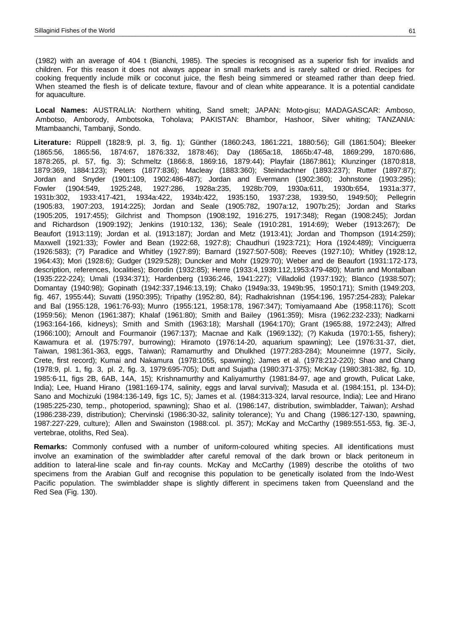(1982) with an average of 404 t (Bianchi, 1985). The species is recognised as a superior fish for invalids and children. For this reason it does not always appear in small markets and is rarely salted or dried. Recipes for cooking frequently include milk or coconut juice, the flesh being simmered or steamed rather than deep fried. When steamed the flesh is of delicate texture, flavour and of clean white appearance. It is a potential candidate for aquaculture.

**Local Names:** AUSTRALIA: Northern whiting, Sand smelt; JAPAN: Moto-gisu; MADAGASCAR: Amboso, Ambotso, Amborody, Ambotsoka, Toholava; PAKISTAN: Bhambor, Hashoor, Silver whiting; TANZANIA: Mtambaanchi, Tambanji, Sondo.

**Literature:** Rüppell (1828:9, pl. 3, fig. 1); Günther (1860:243, 1861:221, 1880:56); Gill (1861:504); Bleeker (1865:56, 1865:56, 1874:67, 1876:332, 1878:46); Day (1865a:18, 1865b:47-48, 1869:299, 1870:686, 1878:265, pl. 57, fig. 3); Schmeltz (1866:8, 1869:16, 1879:44); Playfair (1867:861); Klunzinger (1870:818, 1879:369, 1884:123); Peters (1877:836); Macleay (1883:360); Steindachner (1893:237); Rutter (1897:87); Jordan and Snyder (1901:109, 1902:486-487); Jordan and Evermann (1902:360); Johnstone (1903:295); Fowler (1904:549, 1925:248, 1927:286, 1928a:235, 1928b:709, 1930a:611, 1930b:654, 1931a:377, 1931b:302, 1933:417-421, 1934a:422, 1934b:422, 1935:150, 1937:238, 1939:50, 1949:50); Pellegrin (1905:83, 1907:203, 1914:225); Jordan and Seale (1905:782, 1907a:12, 1907b:25); Jordan and Starks (1905:205, 1917:455); Gilchrist and Thompson (1908:192, 1916:275, 1917:348); Regan (1908:245); Jordan and Richardson (1909:192); Jenkins (1910:132, 136); Seale (1910:281, 1914:69); Weber (1913:267); De Beaufort (1913:119); Jordan et al. (1913:187); Jordan and Metz (1913:41); Jordan and Thompson (1914:259); Maxwell (1921:33); Fowler and Bean (1922:68, 1927:8); Chaudhuri (1923:721); Hora (1924:489); Vinciguerra (1926:583); (?) Paradice and Whitley (1927:89); Barnard (1927:507-508); Reeves (1927:10); Whitley (1928:12, 1964:43); Mori (1928:6); Gudger (1929:528); Duncker and Mohr (1929:70); Weber and de Beaufort (1931:172-173, description, references, localities); Borodin (1932:85); Herre (1933:4,1939:112,1953:479-480); Martin and Montalban (1935:222-224); Umali (1934:371); Hardenberg (1936:246, 1941:227); Villadolid (1937:192); Blanco (1938:507); Domantay (1940:98); Gopinath (1942:337,1946:13,19); Chako (1949a:33, 1949b:95, 1950:171); Smith (1949:203, fig. 467, 1955:44); Suvatti (1950:395); Tripathy (1952:80, 84); Radhakrishnan (1954:196, 1957:254-283); Palekar and Bal (1955:128, 1961:76-93); Munro (1955:121, 1958:178, 1967:347); Tomiyamaand Abe (1958:1176); Scott (1959:56); Menon (1961:387); Khalaf (1961:80); Smith and Bailey (1961:359); Misra (1962:232-233); Nadkarni (1963:164-166, kidneys); Smith and Smith (1963:18); Marshall (1964:170); Grant (1965:88, 1972:243); Alfred (1966:100); Arnoult and Fourmanoir (1967:137); Macnae and Kalk (1969:132); (?) Kakuda (1970:1-55, fishery); Kawamura et al. (1975:797, burrowing); Hiramoto (1976:14-20, aquarium spawning); Lee (1976:31-37, diet, Taiwan, 1981:361-363, eggs, Taiwan); Ramamurthy and Dhulkhed (1977:283-284); Mouneimne (1977, Sicily, Crete, first record); Kumai and Nakamura (1978:1055, spawning); James et al. (1978:212-220); Shao and Chang (1978:9, pl. 1, fig. 3, pl. 2, fig. 3, 1979:695-705); Dutt and Sujatha (1980:371-375); McKay (1980:381-382, fig. 1D, 1985:6-11, figs 2B, 6AB, 14A, 15); Krishnamurthy and Kaliyamurthy (1981:84-97, age and growth, Pulicat Lake, India); Lee, Huand Hirano (1981:169-174, salinity, eggs and larval survival); Masuda et al. (1984:151, pl. 134-D); Sano and Mochizuki (1984:136-149, figs 1C, 5); James et al. (1984:313-324, larval resource, India); Lee and Hirano (1985:225-230, temp., photoperiod, spawning); Shao et al. (1986:147, distribution, swimbladder, Taiwan); Arshad (1986:238-239, distribution); Chervinski (1986:30-32, salinity tolerance); Yu and Chang (1986:127-130, spawning, 1987:227-229, culture); Allen and Swainston (1988:col. pl. 357); McKay and McCarthy (1989:551-553, fig. 3E-J, vertebrae, otoliths, Red Sea).

**Remarks:** Commonly confused with a number of uniform-coloured whiting species. All identifications must involve an examination of the swimbladder after careful removal of the dark brown or black peritoneum in addition to lateral-line scale and fin-ray counts. McKay and McCarthy (1989) describe the otoliths of two specimens from the Arabian Gulf and recognise this population to be genetically isolated from the Indo-West Pacific population. The swimbladder shape is slightly different in specimens taken from Queensland and the Red Sea (Fig. 130).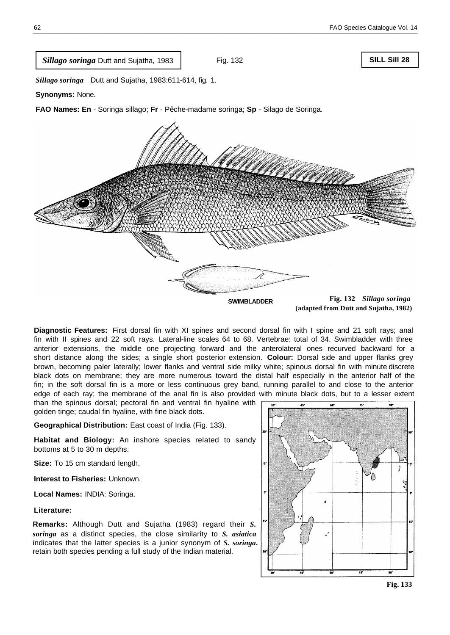*Sillago soringa* Dutt and Sujatha, 1983

Fig. 132

## **SILL Sill 28**

*Sillago soringa* Dutt and Sujatha, 1983:611-614, fig. 1.

**Synonyms:** None.

**FAO Names: En** - Soringa sillago; **Fr** - Pêche-madame soringa; **Sp** - Silago de Soringa.



**Diagnostic Features:** First dorsal fin with XI spines and second dorsal fin with I spine and 21 soft rays; anal fin with II spines and 22 soft rays. Lateral-line scales 64 to 68. Vertebrae: total of 34. Swimbladder with three anterior extensions, the middle one projecting forward and the anterolateral ones recurved backward for a short distance along the sides; a single short posterior extension. **Colour:** Dorsal side and upper flanks grey brown, becoming paler laterally; lower flanks and ventral side milky white; spinous dorsal fin with minute discrete black dots on membrane; they are more numerous toward the distal half especially in the anterior half of the fin; in the soft dorsal fin is a more or less continuous grey band, running parallel to and close to the anterior edge of each ray; the membrane of the anal fin is also provided with minute black dots, but to a lesser extent

than the spinous dorsal; pectoral fin and ventral fin hyaline with golden tinge; caudal fin hyaline, with fine black dots.

**Geographical Distribution:** East coast of India (Fig. 133).

**Habitat and Biology:** An inshore species related to sandy bottoms at 5 to 30 m depths.

**Size:** To 15 cm standard length.

**Interest to Fisheries:** Unknown.

**Local Names:** INDIA: Soringa.

**Literature:**

**Remarks:** Although Dutt and Sujatha (1983) regard their *S. soringa* as a distinct species, the close similarity to *S. asiatica* indicates that the latter species is a junior synonym of *S. soringa***.** retain both species pending a full study of the Indian material.



**Fig. 133**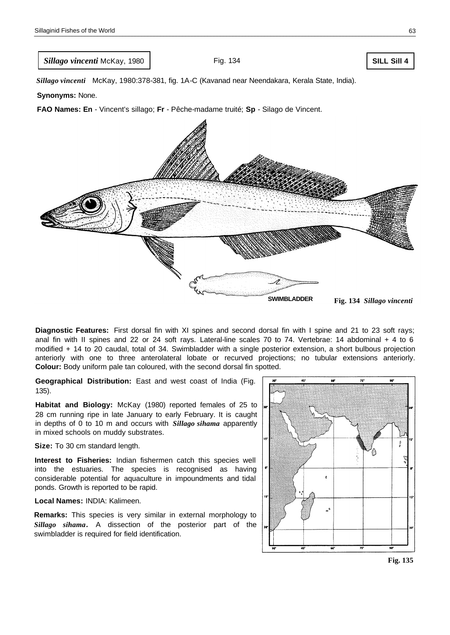*Sillago vincenti* McKay, 1980

Fig. 134

**SILL Sill 4**

*Sillago vincenti* McKay, 1980:378-381, fig. 1A-C (Kavanad near Neendakara, Kerala State, India).

**Synonyms:** None.

**FAO Names: En** - Vincent's sillago; **Fr** - Pêche-madame truité; **Sp** - Silago de Vincent.



**Diagnostic Features:** First dorsal fin with XI spines and second dorsal fin with I spine and 21 to 23 soft rays; anal fin with II spines and 22 or 24 soft rays. Lateral-line scales 70 to 74. Vertebrae: 14 abdominal + 4 to 6 modified + 14 to 20 caudal, total of 34. Swimbladder with a single posterior extension, a short bulbous projection anteriorly with one to three anterolateral lobate or recurved projections; no tubular extensions anteriorly. **Colour:** Body uniform pale tan coloured, with the second dorsal fin spotted.

**Geographical Distribution:** East and west coast of India (Fig. 135).

**Habitat and Biology:** McKay (1980) reported females of 25 to 28 cm running ripe in late January to early February. It is caught in depths of 0 to 10 m and occurs with *Sillago sihama* apparently in mixed schools on muddy substrates.

**Size:** To 30 cm standard length.

**Interest to Fisheries:** Indian fishermen catch this species well into the estuaries. The species is recognised as having considerable potential for aquaculture in impoundments and tidal ponds. Growth is reported to be rapid.

**Local Names:** INDIA: Kalimeen.

**Remarks:** This species is very similar in external morphology to *Sillago sihama.* A dissection of the posterior part of the swimbladder is required for field identification.



**Fig. 135**